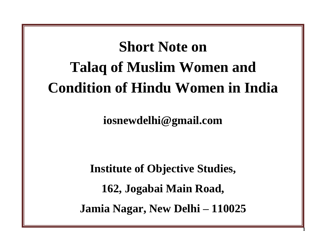# **Short Note on Talaq of Muslim Women and Condition of Hindu Women in India**

**iosnewdelhi@gmail.com**

**Institute of Objective Studies, 162, Jogabai Main Road, Jamia Nagar, New Delhi – 110025**

 **1**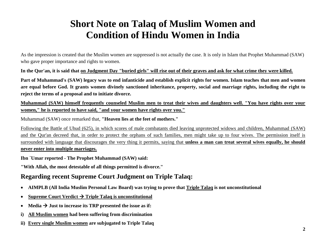# **Short Note on Talaq of Muslim Women and Condition of Hindu Women in India**

As the impression is created that the Muslim women are suppressed is not actually the case. It is only in Islam that Prophet Muhammad (SAW) who gave proper importance and rights to women.

**In the Qur'an, it is said that on Judgment Day "buried girls" will rise out of their graves and ask for what crime they were killed.**

**Part of Muhammad's (SAW) legacy was to end infanticide and establish explicit rights for women. Islam teaches that men and women are equal before God. It grants women divinely sanctioned inheritance, property, social and marriage rights, including the right to reject the terms of a proposal and to initiate divorce.**

**Muhammad (SAW) himself frequently counseled Muslim men to treat their wives and daughters well. "You have rights over your women," he is reported to have said, "and your women have rights over you."**

Muhammad (SAW) once remarked that, **"Heaven lies at the feet of mothers."**

Following the Battle of Uhud (625), in which scores of male combatants died leaving unprotected widows and children, Muhammad (SAW) and the Qur'an decreed that, in order to protect the orphans of such families, men might take up to four wives. The permission itself is surrounded with language that discourages the very thing it permits, saying that **unless a man can treat several wives equally, he should never enter into multiple marriages.**

**Ibn `Umar reported - The Prophet Muhammad (SAW) said:**

**"With Allah, the most detestable of all things permitted is divorce."**

## **Regarding recent Supreme Court Judgment on Triple Talaq:**

- **AIMPLB (All India Muslim Personal Law Board) was trying to prove that Triple Talaq is not unconstitutional**
- Supreme Court Verdict  $\rightarrow$  Triple Talaq is unconstitutional
- Media  $\rightarrow$  Just to increase its TRP presented the issue as if:
- **i) All Muslim women had been suffering from discrimination**
- **ii) Every single Muslim women are subjugated to Triple Talaq**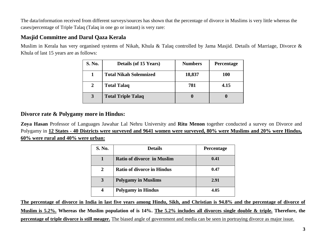The data/information received from different surveys/sources has shown that the percentage of divorce in Muslims is very little whereas the cases/percentage of Triple Talaq (Talaq in one go or instant) is very rare:

# **Masjid Committee and Darul Qaza Kerala**

Muslim in Kerala has very organised systems of Nikah, Khula & Talaq controlled by Jama Masjid. Details of Marriage, Divorce & Khula of last 15 years are as follows:

| <b>S. No.</b> | <b>Details (of 15 Years)</b>  | <b>Numbers</b> | <b>Percentage</b> |
|---------------|-------------------------------|----------------|-------------------|
|               | <b>Total Nikah Solemnized</b> | 18,837         | <b>100</b>        |
| 2             | <b>Total Talaq</b>            | 781            | 4.15              |
| 3             | <b>Total Triple Talaq</b>     |                | 0                 |

#### **Divorce rate & Polygamy more in Hindus:**

**Zoya Hasan** Professor of Languages Jawahar Lal Nehru University and **Ritu Menon** together conducted a survey on Divorce and Polygamy in **12 States - 40 Districts were surveyed and 9641 women were surveyed, 80% were Muslims and 20% were Hindus, 60% were rural and 40% were urban:**

| S. No.           | <b>Details</b>                    | Percentage |
|------------------|-----------------------------------|------------|
|                  | <b>Ratio of divorce in Muslim</b> | 0.41       |
| 2                | <b>Ratio of divorce in Hindus</b> | 0.47       |
| 3                | <b>Polygamy in Muslims</b>        | 2.91       |
| $\boldsymbol{4}$ | <b>Polygamy in Hindus</b>         | 4.05       |

**The percentage of divorce in India in last five years among Hindu, Sikh, and Christian is 94.8% and the percentage of divorce of Muslim is 5.2%. Whereas the Muslim population of is 14%. The 5.2% includes all divorces single double & triple. Therefore, the percentage of triple divorce is still meager.** The biased angle of government and media can be seen in portraying divorce as major issue.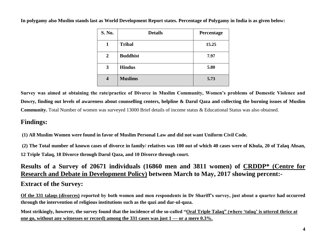| S. No. | <b>Details</b>  | Percentage |
|--------|-----------------|------------|
| 1      | <b>Tribal</b>   | 15.25      |
| 2      | <b>Buddhist</b> | 7.97       |
| 3      | <b>Hindus</b>   | 5.80       |
| 4      | <b>Muslims</b>  | 5.73       |

**In polygamy also Muslim stands last as World Development Report states. Percentage of Polygamy in India is as given below:**

**Survey was aimed at obtaining the rate/practice of Divorce in Muslim Community, Women's problems of Domestic Violence and Dowry, finding out levels of awareness about counselling centers, helpline & Darul Qaza and collecting the burning issues of Muslim Community.** Total Number of women was surveyed 13000 Brief details of income status & Educational Status was also obtained.

# **Findings:**

**(1) All Muslim Women were found in favor of Muslim Personal Law and did not want Uniform Civil Code.**

**(2) The Total number of known cases of divorce in family/ relatives was 100 out of which 40 cases were of Khula, 20 of Talaq Ahsan, 12 Triple Talaq, 18 Divorce through Darul Qaza, and 10 Divorce through court.**

**Results of a Survey of 20671 individuals (16860 men and 3811 women) of CRDDP\* (Centre for Research and Debate in Development Policy) between March to May, 2017 showing percent:- Extract of the Survey:**

**Of the 331 talaqs (divorces) reported by both women and men respondents in Dr Shariff's survey, just about a quarter had occurred through the intervention of religious institutions such as the qazi and dar-ul-qaza.**

Most strikingly, however, the survey found that the incidence of the so-called "Oral Triple Talaq" (where 'talaq' is uttered thrice at **one go, without any witnesses or record) among the 331 cases was just 1 — or a mere 0.3%.**